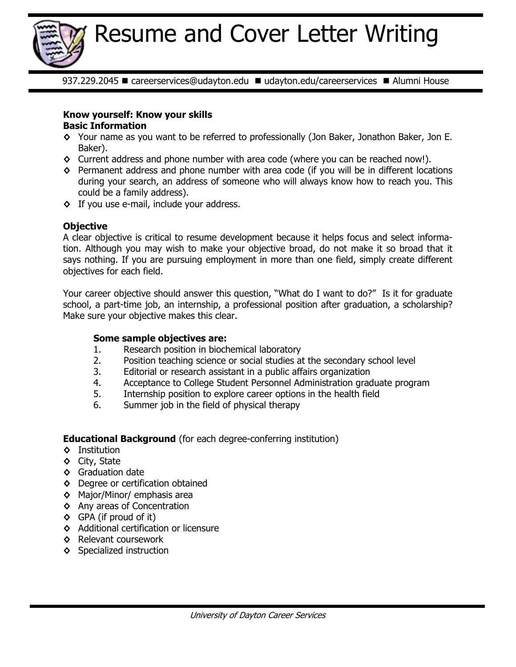

937.229.2045 · careerservices@udayton.edu · udayton.edu/careerservices · Alumni House

# **Know yourself: Know your skills Basic Information**

- **◊** Your name as you want to be referred to professionally (Jon Baker, Jonathon Baker, Jon E. Baker).
- **◊** Current address and phone number with area code (where you can be reached now!).
- **◊** Permanent address and phone number with area code (if you will be in different locations during your search, an address of someone who will always know how to reach you. This could be a family address).
- **◊** If you use e-mail, include your address.

# **Objective**

A clear objective is critical to resume development because it helps focus and select information. Although you may wish to make your objective broad, do not make it so broad that it says nothing. If you are pursuing employment in more than one field, simply create different objectives for each field.

Your career objective should answer this question, "What do I want to do?" Is it for graduate school, a part-time job, an internship, a professional position after graduation, a scholarship? Make sure your objective makes this clear.

# **Some sample objectives are:**

- 1. Research position in biochemical laboratory
- 2. Position teaching science or social studies at the secondary school level
- 3. Editorial or research assistant in a public affairs organization
- 4. Acceptance to College Student Personnel Administration graduate program
- 5. Internship position to explore career options in the health field
- 6. Summer job in the field of physical therapy

# **Educational Background** (for each degree-conferring institution)

- **◊** Institution
- **◊** City, State
- **◊** Graduation date
- **◊** Degree or certification obtained
- **◊** Major/Minor/ emphasis area
- **◊** Any areas of Concentration
- **◊** GPA (if proud of it)
- **◊** Additional certification or licensure
- **◊** Relevant coursework
- **◊** Specialized instruction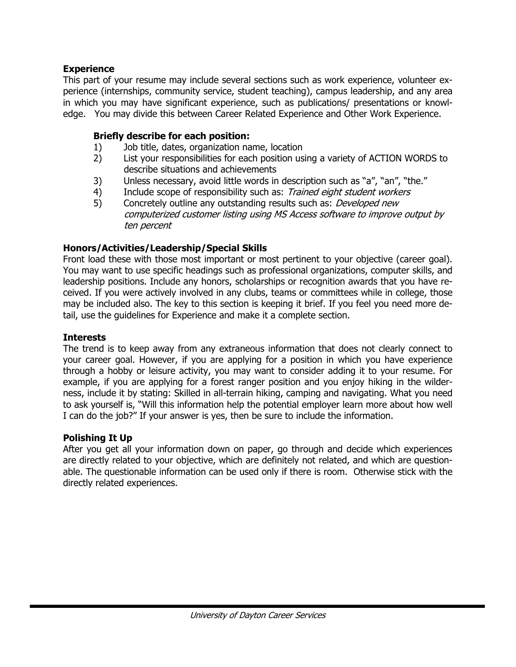#### **Experience**

This part of your resume may include several sections such as work experience, volunteer experience (internships, community service, student teaching), campus leadership, and any area in which you may have significant experience, such as publications/ presentations or knowledge. You may divide this between Career Related Experience and Other Work Experience.

#### **Briefly describe for each position:**

- 1) Job title, dates, organization name, location
- 2) List your responsibilities for each position using a variety of ACTION WORDS to describe situations and achievements
- 3) Unless necessary, avoid little words in description such as "a", "an", "the."
- 4) Include scope of responsibility such as: Trained eight student workers
- 5) Concretely outline any outstanding results such as: Developed new computerized customer listing using MS Access software to improve output by ten percent

#### **Honors/Activities/Leadership/Special Skills**

Front load these with those most important or most pertinent to your objective (career goal). You may want to use specific headings such as professional organizations, computer skills, and leadership positions. Include any honors, scholarships or recognition awards that you have received. If you were actively involved in any clubs, teams or committees while in college, those may be included also. The key to this section is keeping it brief. If you feel you need more detail, use the guidelines for Experience and make it a complete section.

#### **Interests**

The trend is to keep away from any extraneous information that does not clearly connect to your career goal. However, if you are applying for a position in which you have experience through a hobby or leisure activity, you may want to consider adding it to your resume. For example, if you are applying for a forest ranger position and you enjoy hiking in the wilderness, include it by stating: Skilled in all-terrain hiking, camping and navigating. What you need to ask yourself is, "Will this information help the potential employer learn more about how well I can do the job?" If your answer is yes, then be sure to include the information.

#### **Polishing It Up**

After you get all your information down on paper, go through and decide which experiences are directly related to your objective, which are definitely not related, and which are questionable. The questionable information can be used only if there is room. Otherwise stick with the directly related experiences.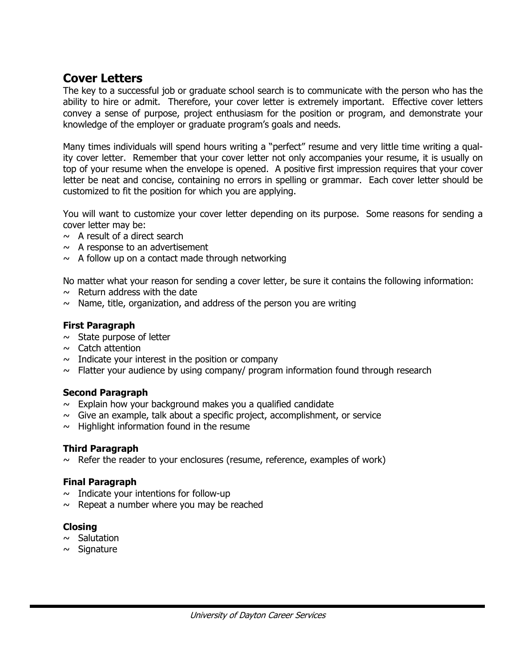# **Cover Letters**

The key to a successful job or graduate school search is to communicate with the person who has the ability to hire or admit. Therefore, your cover letter is extremely important. Effective cover letters convey a sense of purpose, project enthusiasm for the position or program, and demonstrate your knowledge of the employer or graduate program's goals and needs.

Many times individuals will spend hours writing a "perfect" resume and very little time writing a quality cover letter. Remember that your cover letter not only accompanies your resume, it is usually on top of your resume when the envelope is opened. A positive first impression requires that your cover letter be neat and concise, containing no errors in spelling or grammar. Each cover letter should be customized to fit the position for which you are applying.

You will want to customize your cover letter depending on its purpose. Some reasons for sending a cover letter may be:

- $\sim$  A result of a direct search
- $\sim$  A response to an advertisement
- $\sim$  A follow up on a contact made through networking

No matter what your reason for sending a cover letter, be sure it contains the following information:

- $\sim$  Return address with the date
- $\sim$  Name, title, organization, and address of the person you are writing

#### **First Paragraph**

- $\sim$  State purpose of letter
- $\sim$  Catch attention
- $\sim$  Indicate your interest in the position or company
- $\sim$  Flatter your audience by using company/ program information found through research

#### **Second Paragraph**

- $\sim$  Explain how your background makes you a qualified candidate
- $\sim$  Give an example, talk about a specific project, accomplishment, or service
- $\sim$  Highlight information found in the resume

#### **Third Paragraph**

 $\sim$  Refer the reader to your enclosures (resume, reference, examples of work)

#### **Final Paragraph**

- $\sim$  Indicate your intentions for follow-up
- $\sim$  Repeat a number where you may be reached

#### **Closing**

- $~\sim~$  Salutation
- $\sim$  Signature